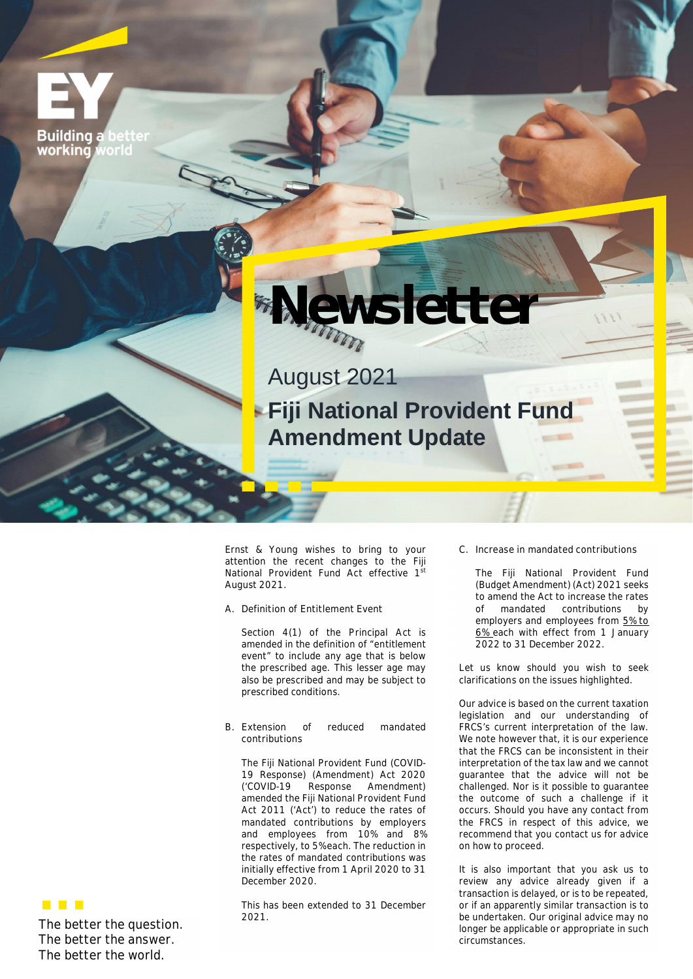**Building a** working voric



August 2021 **Fiji National Provident Fund Amendment Update**

Ernst & Young wishes to bring to your attention the recent changes to the Fiji National Provident Fund Act effective 1<sup>st</sup> August 2021.

A. **Definition of Entitlement Event** 

Section 4(1) of the Principal Act is amended in the definition of "entitlement event" to include any age that is below the prescribed age. This lesser age may also be prescribed and may be subject to prescribed conditions.

**B. Extension of reduced mandated contributions**

The Fiji National Provident Fund (COVID-19 Response) (Amendment) Act 2020<br>('COVID-19 Response Amendment) (Amendment) amended the Fiji National Provident Fund Act 2011 ('Act') to reduce the rates of mandated contributions by employers and employees from 10% and 8% respectively, to 5% each. The reduction in the rates of mandated contributions was initially effective from 1 April 2020 to 31 December 2020.

This has been extended to 31 December 2021.

**C. Increase in mandated contributions**

The Fiji National Provident Fund (Budget Amendment) (Act) 2021 seeks to amend the Act to increase the rates of mandated contributions by employers and employees from **5% to 6%** each with effect from 1 January 2022 to 31 December 2022.

Let us know should you wish to seek clarifications on the issues highlighted.

*Our advice is based on the current taxation legislation and our understanding of FRCS's current interpretation of the law. We note however that, it is our experience that the FRCS can be inconsistent in their interpretation of the tax law and we cannot guarantee that the advice will not be challenged. Nor is it possible to guarantee the outcome of such a challenge if it occurs. Should you have any contact from the FRCS in respect of this advice, we recommend that you contact us for advice on how to proceed.*

*It is also important that you ask us to review any advice already given if a transaction is delayed, or is to be repeated, or if an apparently similar transaction is to be undertaken. Our original advice may no longer be applicable or appropriate in such circumstances.*

**The better the question. The better the answer. The better the world.**

 $\blacksquare$